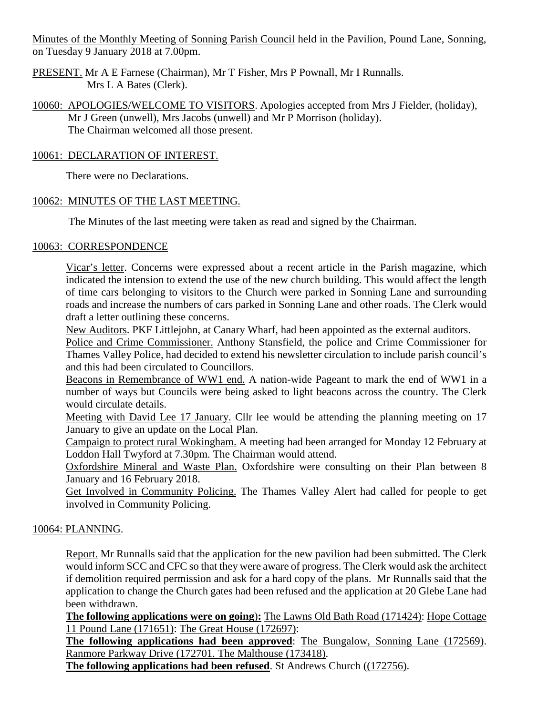Minutes of the Monthly Meeting of Sonning Parish Council held in the Pavilion, Pound Lane, Sonning, on Tuesday 9 January 2018 at 7.00pm.

PRESENT. Mr A E Farnese (Chairman), Mr T Fisher, Mrs P Pownall, Mr I Runnalls. Mrs L A Bates (Clerk).

10060: APOLOGIES/WELCOME TO VISITORS. Apologies accepted from Mrs J Fielder, (holiday), Mr J Green (unwell), Mrs Jacobs (unwell) and Mr P Morrison (holiday). The Chairman welcomed all those present.

### 10061: DECLARATION OF INTEREST.

There were no Declarations.

### 10062: MINUTES OF THE LAST MEETING.

The Minutes of the last meeting were taken as read and signed by the Chairman.

### 10063: CORRESPONDENCE

Vicar's letter. Concerns were expressed about a recent article in the Parish magazine, which indicated the intension to extend the use of the new church building. This would affect the length of time cars belonging to visitors to the Church were parked in Sonning Lane and surrounding roads and increase the numbers of cars parked in Sonning Lane and other roads. The Clerk would draft a letter outlining these concerns.

New Auditors. PKF Littlejohn, at Canary Wharf, had been appointed as the external auditors.

Police and Crime Commissioner. Anthony Stansfield, the police and Crime Commissioner for Thames Valley Police, had decided to extend his newsletter circulation to include parish council's and this had been circulated to Councillors.

Beacons in Remembrance of WW1 end. A nation-wide Pageant to mark the end of WW1 in a number of ways but Councils were being asked to light beacons across the country. The Clerk would circulate details.

Meeting with David Lee 17 January. Cllr lee would be attending the planning meeting on 17 January to give an update on the Local Plan.

Campaign to protect rural Wokingham. A meeting had been arranged for Monday 12 February at Loddon Hall Twyford at 7.30pm. The Chairman would attend.

Oxfordshire Mineral and Waste Plan. Oxfordshire were consulting on their Plan between 8 January and 16 February 2018.

Get Involved in Community Policing. The Thames Valley Alert had called for people to get involved in Community Policing.

## 10064: PLANNING.

Report. Mr Runnalls said that the application for the new pavilion had been submitted. The Clerk would inform SCC and CFC so that they were aware of progress. The Clerk would ask the architect if demolition required permission and ask for a hard copy of the plans. Mr Runnalls said that the application to change the Church gates had been refused and the application at 20 Glebe Lane had been withdrawn.

**The following applications were on going**)**:** The Lawns Old Bath Road (171424): Hope Cottage 11 Pound Lane (171651): The Great House (172697):

**The following applications had been approved**: The Bungalow, Sonning Lane (172569). Ranmore Parkway Drive (172701. The Malthouse (173418).

**The following applications had been refused**. St Andrews Church ((172756).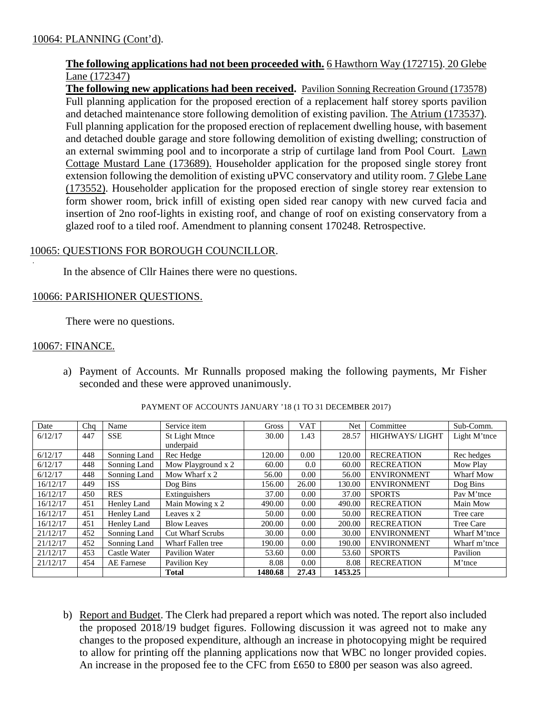### **The following applications had not been proceeded with.** 6 Hawthorn Way (172715). 20 Glebe Lane (172347)

**The following new applications had been received.** Pavilion Sonning Recreation Ground (173578) Full planning application for the proposed erection of a replacement half storey sports pavilion and detached maintenance store following demolition of existing pavilion. The Atrium (173537). Full planning application for the proposed erection of replacement dwelling house, with basement and detached double garage and store following demolition of existing dwelling; construction of an external swimming pool and to incorporate a strip of curtilage land from Pool Court. Lawn Cottage Mustard Lane (173689). Householder application for the proposed single storey front extension following the demolition of existing uPVC conservatory and utility room. 7 Glebe Lane (173552). Householder application for the proposed erection of single storey rear extension to form shower room, brick infill of existing open sided rear canopy with new curved facia and insertion of 2no roof-lights in existing roof, and change of roof on existing conservatory from a glazed roof to a tiled roof. Amendment to planning consent 170248. Retrospective.

## 10065: QUESTIONS FOR BOROUGH COUNCILLOR.

In the absence of Cllr Haines there were no questions.

#### 10066: PARISHIONER QUESTIONS.

There were no questions.

#### 10067: FINANCE.

.

a) Payment of Accounts. Mr Runnalls proposed making the following payments, Mr Fisher seconded and these were approved unanimously.

| Date     | Chq | Name         | Service item            | <b>Gross</b> | <b>VAT</b> | Net     | Committee             | Sub-Comm.    |
|----------|-----|--------------|-------------------------|--------------|------------|---------|-----------------------|--------------|
| 6/12/17  | 447 | <b>SSE</b>   | St Light Mtnce          | 30.00        | 1.43       | 28.57   | <b>HIGHWAYS/LIGHT</b> | Light M'tnce |
|          |     |              | underpaid               |              |            |         |                       |              |
| 6/12/17  | 448 | Sonning Land | Rec Hedge               | 120.00       | 0.00       | 120.00  | <b>RECREATION</b>     | Rec hedges   |
| 6/12/17  | 448 | Sonning Land | Mow Playground x 2      | 60.00        | $0.0\,$    | 60.00   | <b>RECREATION</b>     | Mow Play     |
| 6/12/17  | 448 | Sonning Land | Mow Wharf x 2           | 56.00        | 0.00       | 56.00   | <b>ENVIRONMENT</b>    | Wharf Mow    |
| 16/12/17 | 449 | <b>ISS</b>   | Dog Bins                | 156.00       | 26.00      | 130.00  | <b>ENVIRONMENT</b>    | Dog Bins     |
| 16/12/17 | 450 | <b>RES</b>   | Extinguishers           | 37.00        | 0.00       | 37.00   | <b>SPORTS</b>         | Pav M'tnce   |
| 16/12/17 | 451 | Henley Land  | Main Mowing x 2         | 490.00       | 0.00       | 490.00  | <b>RECREATION</b>     | Main Mow     |
| 16/12/17 | 451 | Henley Land  | Leaves x 2              | 50.00        | 0.00       | 50.00   | <b>RECREATION</b>     | Tree care    |
| 16/12/17 | 451 | Henley Land  | <b>Blow Leaves</b>      | 200.00       | 0.00       | 200.00  | <b>RECREATION</b>     | Tree Care    |
| 21/12/17 | 452 | Sonning Land | <b>Cut Wharf Scrubs</b> | 30.00        | 0.00       | 30.00   | <b>ENVIRONMENT</b>    | Wharf M'tnce |
| 21/12/17 | 452 | Sonning Land | Wharf Fallen tree       | 190.00       | 0.00       | 190.00  | <b>ENVIRONMENT</b>    | Wharf m'tnce |
| 21/12/17 | 453 | Castle Water | Pavilion Water          | 53.60        | 0.00       | 53.60   | <b>SPORTS</b>         | Pavilion     |
| 21/12/17 | 454 | AE Farnese   | Pavilion Key            | 8.08         | 0.00       | 8.08    | <b>RECREATION</b>     | M'tnce       |
|          |     |              | <b>Total</b>            | 1480.68      | 27.43      | 1453.25 |                       |              |

#### PAYMENT OF ACCOUNTS JANUARY '18 (1 TO 31 DECEMBER 2017)

b) Report and Budget. The Clerk had prepared a report which was noted. The report also included the proposed 2018/19 budget figures. Following discussion it was agreed not to make any changes to the proposed expenditure, although an increase in photocopying might be required to allow for printing off the planning applications now that WBC no longer provided copies. An increase in the proposed fee to the CFC from £650 to £800 per season was also agreed.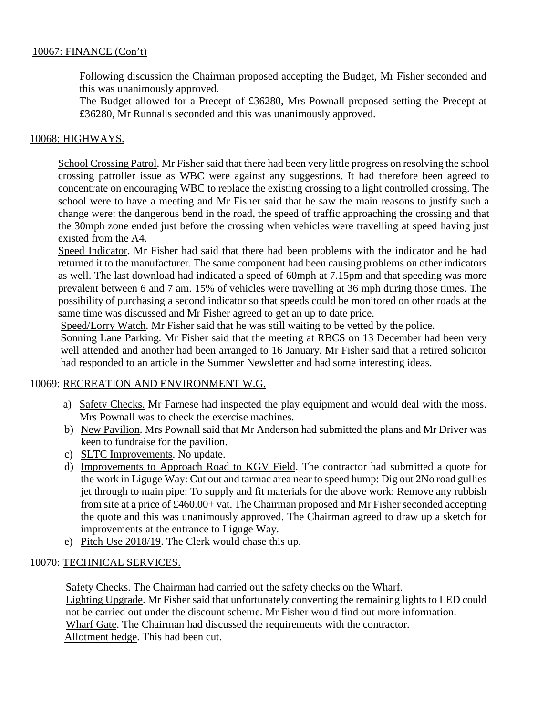### 10067: FINANCE (Con't)

Following discussion the Chairman proposed accepting the Budget, Mr Fisher seconded and this was unanimously approved.

The Budget allowed for a Precept of £36280, Mrs Pownall proposed setting the Precept at £36280, Mr Runnalls seconded and this was unanimously approved.

#### 10068: HIGHWAYS.

School Crossing Patrol. Mr Fisher said that there had been very little progress on resolving the school crossing patroller issue as WBC were against any suggestions. It had therefore been agreed to concentrate on encouraging WBC to replace the existing crossing to a light controlled crossing. The school were to have a meeting and Mr Fisher said that he saw the main reasons to justify such a change were: the dangerous bend in the road, the speed of traffic approaching the crossing and that the 30mph zone ended just before the crossing when vehicles were travelling at speed having just existed from the A4.

Speed Indicator. Mr Fisher had said that there had been problems with the indicator and he had returned it to the manufacturer. The same component had been causing problems on other indicators as well. The last download had indicated a speed of 60mph at 7.15pm and that speeding was more prevalent between 6 and 7 am. 15% of vehicles were travelling at 36 mph during those times. The possibility of purchasing a second indicator so that speeds could be monitored on other roads at the same time was discussed and Mr Fisher agreed to get an up to date price.

Speed/Lorry Watch. Mr Fisher said that he was still waiting to be vetted by the police.

Sonning Lane Parking. Mr Fisher said that the meeting at RBCS on 13 December had been very well attended and another had been arranged to 16 January. Mr Fisher said that a retired solicitor had responded to an article in the Summer Newsletter and had some interesting ideas.

#### 10069: RECREATION AND ENVIRONMENT W.G.

- a) Safety Checks. Mr Farnese had inspected the play equipment and would deal with the moss. Mrs Pownall was to check the exercise machines.
- b) New Pavilion. Mrs Pownall said that Mr Anderson had submitted the plans and Mr Driver was keen to fundraise for the pavilion.
- c) SLTC Improvements. No update.
- d) Improvements to Approach Road to KGV Field. The contractor had submitted a quote for the work in Liguge Way: Cut out and tarmac area near to speed hump: Dig out 2No road gullies jet through to main pipe: To supply and fit materials for the above work: Remove any rubbish from site at a price of £460.00+ vat. The Chairman proposed and Mr Fisher seconded accepting the quote and this was unanimously approved. The Chairman agreed to draw up a sketch for improvements at the entrance to Liguge Way.
- e) Pitch Use 2018/19. The Clerk would chase this up.

#### 10070: TECHNICAL SERVICES.

Safety Checks. The Chairman had carried out the safety checks on the Wharf. Lighting Upgrade. Mr Fisher said that unfortunately converting the remaining lights to LED could not be carried out under the discount scheme. Mr Fisher would find out more information. Wharf Gate. The Chairman had discussed the requirements with the contractor. Allotment hedge. This had been cut.